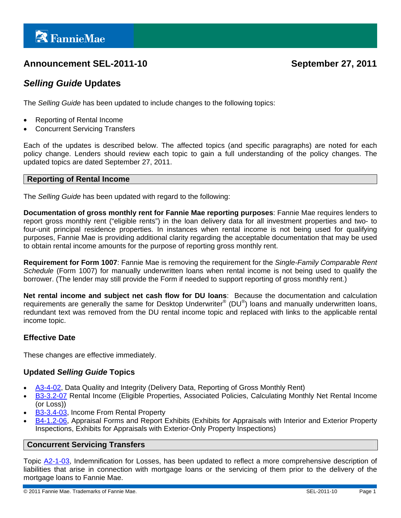# **Announcement SEL-2011-10 September 27, 2011**

## *Selling Guide* **Updates**

The *Selling Guide* has been updated to include changes to the following topics:

- Reporting of Rental Income
- Concurrent Servicing Transfers

Each of the updates is described below. The affected topics (and specific paragraphs) are noted for each policy change. Lenders should review each topic to gain a full understanding of the policy changes. The updated topics are dated September 27, 2011.

#### **Reporting of Rental Income**

The *Selling Guide* has been updated with regard to the following:

**Documentation of gross monthly rent for Fannie Mae reporting purposes**: Fannie Mae requires lenders to report gross monthly rent ("eligible rents") in the loan delivery data for all investment properties and two- to four-unit principal residence properties. In instances when rental income is not being used for qualifying purposes, Fannie Mae is providing additional clarity regarding the acceptable documentation that may be used to obtain rental income amounts for the purpose of reporting gross monthly rent.

**Requirement for Form 1007**: Fannie Mae is removing the requirement for the *Single-Family Comparable Rent Schedule* (Form 1007) for manually underwritten loans when rental income is not being used to qualify the borrower. (The lender may still provide the Form if needed to support reporting of gross monthly rent.)

**Net rental income and subject net cash flow for DU loans**: Because the documentation and calculation requirements are generally the same for Desktop Underwriter® (DU®) loans and manually underwritten loans, redundant text was removed from the DU rental income topic and replaced with links to the applicable rental income topic.

#### **Effective Date**

These changes are effective immediately.

#### **Updated** *Selling Guide* **Topics**

- [A3-4-02](https://www.efanniemae.com/sf/guides/ssg/sg/pdf/sel092711.pdf#page=139), Data Quality and Integrity (Delivery Data, Reporting of Gross Monthly Rent)
- [B3-3.2-07](https://www.efanniemae.com/sf/guides/ssg/sg/pdf/sel092711.pdf#page=335) Rental Income (Eligible Properties, Associated Policies, Calculating Monthly Net Rental Income (or Loss))
- [B3-3.4-03](https://www.efanniemae.com/sf/guides/ssg/sg/pdf/sel092711.pdf#page=390), Income From Rental Property
- [B4-1.2-06](https://www.efanniemae.com/sf/guides/ssg/sg/pdf/sel092711.pdf#page=543), Appraisal Forms and Report Exhibits (Exhibits for Appraisals with Interior and Exterior Property Inspections, Exhibits for Appraisals with Exterior-Only Property Inspections)

#### **Concurrent Servicing Transfers**

Topic [A2-1-03](https://www.efanniemae.com/sf/guides/ssg/sg/pdf/sel092711.pdf#page=42), Indemnification for Losses, has been updated to reflect a more comprehensive description of liabilities that arise in connection with mortgage loans or the servicing of them prior to the delivery of the mortgage loans to Fannie Mae.